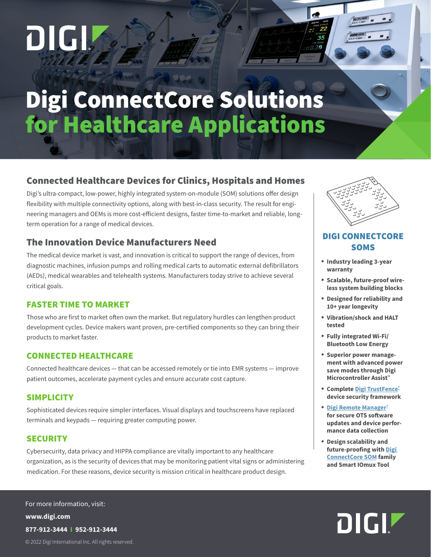# DIGI

## Digi ConnectCore Solutions for Healthcare Applications

#### Connected Healthcare Devices for Clinics, Hospitals and Homes

Digi's ultra-compact, low-power, highly integrated system-on-module (SOM) solutions offer design flexibility with multiple connectivity options, along with best-in-class security. The result for engineering managers and OEMs is more cost-efficient designs, faster time-to-market and reliable, longterm operation for a range of medical devices.

#### The Innovation Device Manufacturers Need

The medical device market is vast, and innovation is critical to support the range of devices, from diagnostic machines, infusion pumps and rolling medical carts to automatic external defibrillators (AEDs), medical wearables and telehealth systems. Manufacturers today strive to achieve several critical goals.

#### FASTER TIME TO MARKET

Those who are first to market often own the market. But regulatory hurdles can lengthen product development cycles. Device makers want proven, pre-certified components so they can bring their products to market faster.

#### CONNECTED HEALTHCARE

Connected healthcare devices — that can be accessed remotely or tie into EMR systems — improve patient outcomes, accelerate payment cycles and ensure accurate cost capture.

#### **SIMPLICITY**

Sophisticated devices require simpler interfaces. Visual displays and touchscreens have replaced terminals and keypads — requiring greater computing power.

#### **SECURITY**

Cybersecurity, data privacy and HIPPA compliance are vitally important to any healthcare organization, as is the security of devices that may be monitoring patient vital signs or administering medication. For these reasons, device security is mission critical in healthcare product design.

© 2022 Digi International Inc. All rights reserved. **www.digi.com 877-912-3444 I 952-912-3444** For more information, visit:



.036

#### DIGI CONNECTCORE **SOMS**

- **Industry leading 3-year warranty**
- **Scalable, future-proof wireless system building blocks**
- **Designed for reliability and 10+ year longevity**
- **Vibration/shock and HALT tested**
- **Fully integrated Wi-Fi/ Bluetooth Low Energy**
- **Superior power management with advanced power save modes through Digi Microcontroller Assist™**
- **Complete [Digi TrustFence®](https://www.digi.com/solutions/by-technology/trustfence) device security framework**
- **[Digi Remote Manager®](https://www.digi.com/products/iot-software-services/digi-remote-manager) for secure OTS software updates and device performance data collection**
- **Design scalability and future-proofing with [Digi](https://www.digi.com/products/embedded-systems/system-on-modules)  [ConnectCore SOM](https://www.digi.com/products/embedded-systems/system-on-modules) family and Smart IOmux Tool**

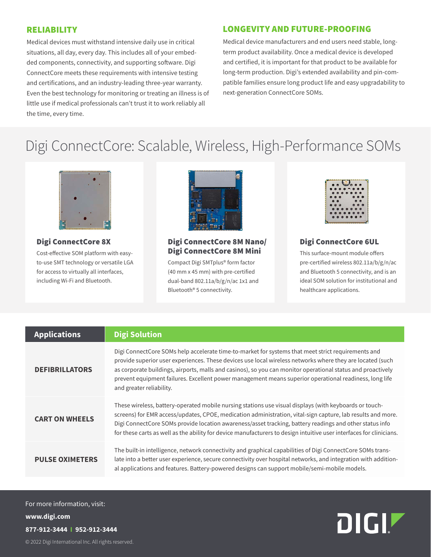#### RELIABILITY

Medical devices must withstand intensive daily use in critical situations, all day, every day. This includes all of your embedded components, connectivity, and supporting software. Digi ConnectCore meets these requirements with intensive testing and certifications, and an industry-leading three-year warranty. Even the best technology for monitoring or treating an illness is of little use if medical professionals can't trust it to work reliably all the time, every time.

#### LONGEVITY AND FUTURE-PROOFING

Medical device manufacturers and end users need stable, longterm product availability. Once a medical device is developed and certified, it is important for that product to be available for long-term production. Digi's extended availability and pin-compatible families ensure long product life and easy upgradability to next-generation ConnectCore SOMs.

### Digi ConnectCore: Scalable, Wireless, High-Performance SOMs



Digi ConnectCore 8X

Cost-effective SOM platform with easyto-use SMT technology or versatile LGA for access to virtually all interfaces, including Wi-Fi and Bluetooth.



#### Digi ConnectCore 8M Nano/ Digi ConnectCore 8M Mini

Compact Digi SMTplus® form factor (40 mm x 45 mm) with pre-certified dual-band 802.11a/b/g/n/ac 1x1 and Bluetooth® 5 connectivity.



#### Digi ConnectCore 6UL

This surface-mount module offers pre-certified wireless 802.11a/b/g/n/ac and Bluetooth 5 connectivity, and is an ideal SOM solution for institutional and healthcare applications.

| <b>Applications</b>    | <b>Digi Solution</b>                                                                                                                                                                                                                                                                                                                                                                                                                                                 |
|------------------------|----------------------------------------------------------------------------------------------------------------------------------------------------------------------------------------------------------------------------------------------------------------------------------------------------------------------------------------------------------------------------------------------------------------------------------------------------------------------|
| <b>DEFIBRILLATORS</b>  | Digi ConnectCore SOMs help accelerate time-to-market for systems that meet strict requirements and<br>provide superior user experiences. These devices use local wireless networks where they are located (such<br>as corporate buildings, airports, malls and casinos), so you can monitor operational status and proactively<br>prevent equipment failures. Excellent power management means superior operational readiness, long life<br>and greater reliability. |
| <b>CART ON WHEELS</b>  | These wireless, battery-operated mobile nursing stations use visual displays (with keyboards or touch-<br>screens) for EMR access/updates, CPOE, medication administration, vital-sign capture, lab results and more.<br>Digi ConnectCore SOMs provide location awareness/asset tracking, battery readings and other status info<br>for these carts as well as the ability for device manufacturers to design intuitive user interfaces for clinicians.              |
| <b>PULSE OXIMETERS</b> | The built-in intelligence, network connectivity and graphical capabilities of Digi ConnectCore SOMs trans-<br>late into a better user experience, secure connectivity over hospital networks, and integration with addition-<br>al applications and features. Battery-powered designs can support mobile/semi-mobile models.                                                                                                                                         |

© 2022 Digi International Inc. All rights reserved. **www.digi.com 877-912-3444 I 952-912-3444** For more information, visit: